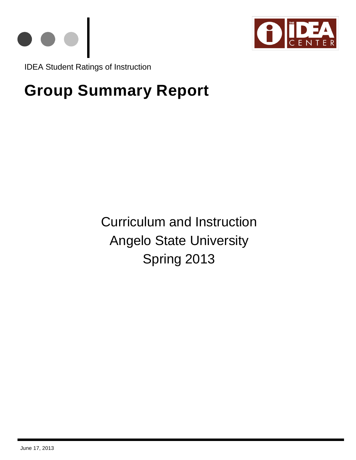



IDEA Student Ratings of Instruction

# **Group Summary Report**

Curriculum and Instruction Angelo State University Spring 2013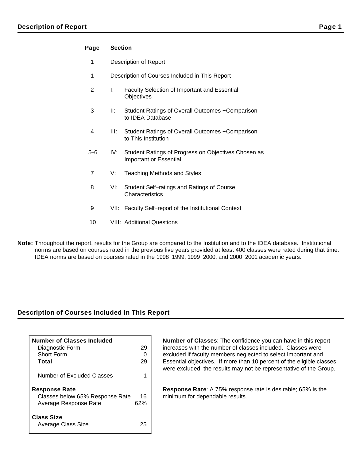## **Page Section**

- 1 Description of Report
- 1 Description of Courses Included in This Report
- 2 I: Faculty Selection of Important and Essential **Objectives**
- 3 II: Student Ratings of Overall Outcomes − Comparison to IDEA Database
- 4 III: Student Ratings of Overall Outcomes − Comparison to This Institution
- 5−6 IV: Student Ratings of Progress on Objectives Chosen as Important or Essential
- 7 V: Teaching Methods and Styles
- 8 VI: Student Self−ratings and Ratings of Course **Characteristics**
- 9 VII: Faculty Self–report of the Institutional Context
- 10 VIII: Additional Questions
- **Note:** Throughout the report, results for the Group are compared to the Institution and to the IDEA database. Institutional norms are based on courses rated in the previous five years provided at least 400 classes were rated during that time. IDEA norms are based on courses rated in the 1998−1999, 1999−2000, and 2000−2001 academic years.

## **Description of Courses Included in This Report**

| <b>Number of Classes Included</b><br>Diagnostic Form<br>Short Form<br>Total      | 29<br>29  |
|----------------------------------------------------------------------------------|-----------|
| Number of Excluded Classes                                                       |           |
| <b>Response Rate</b><br>Classes below 65% Response Rate<br>Average Response Rate | 16<br>62% |
| <b>Class Size</b><br>Average Class Size                                          | 2፥        |

**Number of Classes**: The confidence you can have in this report increases with the number of classes included. Classes were excluded if faculty members neglected to select Important and Essential objectives. If more than 10 percent of the eligible classes were excluded, the results may not be representative of the Group.

**Response Rate**: A 75% response rate is desirable; 65% is the minimum for dependable results.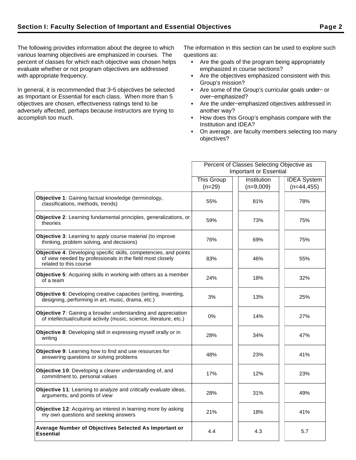The following provides information about the degree to which various learning objectives are emphasized in courses. The percent of classes for which each objective was chosen helps evaluate whether or not program objectives are addressed with appropriate frequency.

In general, it is recommended that 3−5 objectives be selected as Important or Essential for each class. When more than 5 objectives are chosen, effectiveness ratings tend to be adversely affected, perhaps because instructors are trying to accomplish too much.

The information in this section can be used to explore such questions as:

- Are the goals of the program being appropriately emphasized in course sections?
- Are the objectives emphasized consistent with this Group's mission?
- Are some of the Group's curricular goals under− or over−emphasized?
- Are the under−emphasized objectives addressed in another way?
- How does this Group's emphasis compare with the Institution and IDEA?
- On average, are faculty members selecting too many objectives?

|                                                                                                                                                          | Percent of Classes Selecting Objective as |                            |                                     |  |  |
|----------------------------------------------------------------------------------------------------------------------------------------------------------|-------------------------------------------|----------------------------|-------------------------------------|--|--|
|                                                                                                                                                          | <b>Important or Essential</b>             |                            |                                     |  |  |
|                                                                                                                                                          | <b>This Group</b><br>$(n=29)$             | Institution<br>$(n=9,009)$ | <b>IDEA</b> System<br>$(n=44, 455)$ |  |  |
| Objective 1: Gaining factual knowledge (terminology,<br>classifications, methods, trends)                                                                | 55%                                       | 81%                        | 78%                                 |  |  |
| <b>Objective 2:</b> Learning fundamental principles, generalizations, or<br>theories                                                                     | 59%                                       | 73%                        | 75%                                 |  |  |
| Objective 3: Learning to apply course material (to improve<br>thinking, problem solving, and decisions)                                                  | 76%                                       | 69%                        | 75%                                 |  |  |
| Objective 4: Developing specific skills, competencies, and points<br>of view needed by professionals in the field most closely<br>related to this course | 83%                                       | 46%                        | 55%                                 |  |  |
| Objective 5: Acquiring skills in working with others as a member<br>of a team                                                                            | 24%                                       | 18%                        | 32%                                 |  |  |
| Objective 6: Developing creative capacities (writing, inventing,<br>designing, performing in art, music, drama, etc.)                                    | 3%                                        | 13%                        | 25%                                 |  |  |
| <b>Objective 7:</b> Gaining a broader understanding and appreciation<br>of intellectual/cultural activity (music, science, literature, etc.)             | $0\%$                                     | 14%                        | 27%                                 |  |  |
| Objective 8: Developing skill in expressing myself orally or in<br>writing                                                                               | 28%                                       | 34%                        | 47%                                 |  |  |
| Objective 9: Learning how to find and use resources for<br>answering questions or solving problems                                                       | 48%                                       | 23%                        | 41%                                 |  |  |
| Objective 10: Developing a clearer understanding of, and<br>commitment to, personal values                                                               | 17%                                       | 12%                        | 23%                                 |  |  |
| Objective 11: Learning to analyze and critically evaluate ideas,<br>arguments, and points of view                                                        | 28%                                       | 31%                        | 49%                                 |  |  |
| Objective 12: Acquiring an interest in learning more by asking<br>my own questions and seeking answers                                                   | 21%                                       | 18%                        | 41%                                 |  |  |
| Average Number of Objectives Selected As Important or<br><b>Essential</b>                                                                                | 4.4                                       | 4.3                        | 5.7                                 |  |  |
|                                                                                                                                                          |                                           |                            |                                     |  |  |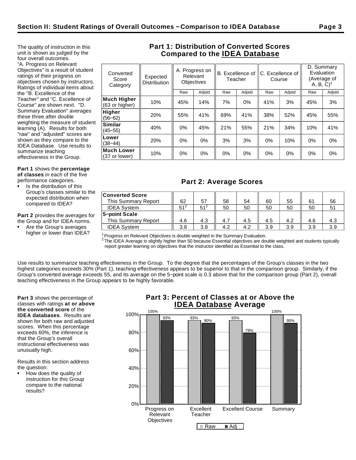The quality of instruction in this unit is shown as judged by the four overall outcomes. "A. Progress on Relevant Objectives" is a result of student ratings of their progress on objectives chosen by instructors. Ratings of individual items about the "B. Excellence of the Teacher" and "C. Excellence of Course" are shown next. "D. Summary Evaluation" averages these three after double weighting the measure of student learning (A). Results for both "raw" and "adjusted" scores are shown as they compare to the IDEA Database. Use results to

**Part 1** shows the **percentage of classes** in each of the five performance categories.

summarize teaching effectiveness in the Group.

Is the distribution of this Group's classes similar to the expected distribution when compared to IDEA?

**Part 2** provides the averages for the Group and for IDEA norms.

Are the Group's averages higher or lower than IDEA?

# **Part 1: Distribution of Converted Scores Compared to the IDEA Database**

| Converted<br>Score<br>Category | Expected<br><b>Distribution</b> |     | A. Progress on<br>Relevant<br><b>Objectives</b> | Teacher |        | B. Excellence of IC. Excellence of<br>Course |        | D. Summary<br>Evaluation<br>$A, B, C$ <sup>1</sup> | (Average of |
|--------------------------------|---------------------------------|-----|-------------------------------------------------|---------|--------|----------------------------------------------|--------|----------------------------------------------------|-------------|
|                                |                                 | Raw | Adjstd                                          | Raw     | Adjstd | Raw                                          | Adjstd | Raw                                                | Adjstd      |
| Much Higher<br>(63 or higher)  | 10%                             | 45% | 14%                                             | 7%      | 0%     | 41%                                          | 3%     | 45%                                                | 3%          |
| <b>Higher</b><br>$(56 - 62)$   | 20%                             | 55% | 41%                                             | 69%     | 41%    | 38%                                          | 52%    | 45%                                                | 55%         |
| Similar<br>$(45 - 55)$         | 40%                             | 0%  | 45%                                             | 21%     | 55%    | 21%                                          | 34%    | 10%                                                | 41%         |
| Lower<br>$(38 - 44)$           | 20%                             | 0%  | $0\%$                                           | 3%      | 3%     | 0%                                           | 10%    | 0%                                                 | $0\%$       |
| Much Lower<br>(37 or lower)    | 10%                             | 0%  | $0\%$                                           | 0%      | $0\%$  | $0\%$                                        | 0%     | 0%                                                 | $0\%$       |
|                                |                                 |     |                                                 |         |        |                                              |        |                                                    |             |

# **Part 2: Average Scores**

| <b>Converted Score</b> |                 |                 |     |     |     |     |     |     |
|------------------------|-----------------|-----------------|-----|-----|-----|-----|-----|-----|
| This Summary Report    | 62              | 57              | 58  | 54  | 60  | 55  | 61  | 56  |
| <b>IDEA System</b>     | 51 <sup>2</sup> | 51 <sup>2</sup> | 50  | 50  | 50  | 50  | 50  |     |
| 5-point Scale          |                 |                 |     |     |     |     |     |     |
| This Summary Report    | 4.6             | 4.3             | 4.7 | 4.5 | 4.5 | 4.2 | 4.6 | 4.3 |
| <b>IDEA System</b>     | 3.8             | 3.8             | 4.2 | 4.2 | 3.9 | 3.9 | 3.9 | 3.9 |

 $1$ Progress on Relevant Objectives is double weighted in the Summary Evaluation.

 $^2$  The IDEA Average is slightly higher than 50 because Essential objectives are double weighted and students typically report greater learning on objectives that the instructor identified as Essential to the class.

Use results to summarize teaching effectiveness in the Group. To the degree that the percentages of the Group's classes in the two highest categories exceeds 30% (Part 1), teaching effectiveness appears to be superior to that in the comparison group. Similarly, if the Group's converted average exceeds 55, and its average on the 5−point scale is 0.3 above that for the comparison group (Part 2), overall teaching effectiveness in the Group appears to be highly favorable.

**Part 3** shows the percentage of classes with ratings **at or above the converted score** of the **IDEA databases**. Results are shown for both raw and adjusted scores. When this percentage exceeds 60%, the inference is that the Group's overall instructional effectiveness was unusually high.

Results in this section address the question:

How does the quality of instruction for this Group compare to the national results?

# **Part 3: Percent of Classes at or Above the IDEA Database Average**

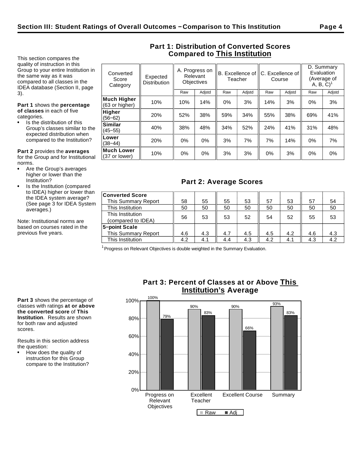This section compares the quality of instruction in this Group to your entire Institution in the same way as it was compared to all classes in the IDEA database (Section II, page 3).

**Part 1** shows the **percentage of classes** in each of five categories.

Is the distribution of this Group's classes similar to the expected distribution when compared to the Institution?

**Part 2** provides the **averages** for the Group and for Institutional norms.

- Are the Group's averages higher or lower than the Institution?
- Is the Institution (compared to IDEA) higher or lower than the IDEA system average? (See page 3 for IDEA System averages.)

Note: Institutional norms are based on courses rated in the previous five years.

| Converted<br>Score<br>Category       | Expected<br><b>Distribution</b> |                      | A. Progress on<br>Relevant<br><b>Objectives</b> |                      | B. Excellence of<br>Teacher |                      | C. Excellence of<br>Course |                      | D. Summary<br>Evaluation<br>(Average of<br>$A, B, C$ <sup>1</sup> |  |
|--------------------------------------|---------------------------------|----------------------|-------------------------------------------------|----------------------|-----------------------------|----------------------|----------------------------|----------------------|-------------------------------------------------------------------|--|
|                                      |                                 | Raw                  | Adjstd                                          | Raw                  | Adjstd                      | Raw                  | Adjstd                     | Raw                  | Adjstd                                                            |  |
| <b>Much Higher</b><br>(63 or higher) | 10%                             | 10%                  | 14%                                             | $0\%$                | 3%                          | 14%                  | 3%                         | $0\%$                | 3%                                                                |  |
| <b>Higher</b><br>$(56 - 62)$         | 20%                             | 52%                  | 38%                                             | 59%                  | 34%                         | 55%                  | 38%                        | 69%                  | 41%                                                               |  |
| <b>Similar</b><br>$(45 - 55)$        | 40%                             | 38%                  | 48%                                             | 34%                  | 52%                         | 24%                  | 41%                        | 31%                  | 48%                                                               |  |
| Lower<br>(38–44)                     | 20%                             | $0\%$                | 0%                                              | 3%                   | 7%                          | 7%                   | 14%                        | $0\%$                | 7%                                                                |  |
| <b>Much Lower</b>                    | $\overline{\phantom{a}}$        | $\sim$ $\sim$ $\sim$ | $\sim$ $\sim$ $\sim$                            | $\sim$ $\sim$ $\sim$ | $\sim$ $\sim$ $\sim$        | $\sim$ $\sim$ $\sim$ | $\sim$ $\sim$ $\sim$       | $\sim$ $\sim$ $\sim$ | $\sim$ $\sim$ $\sim$                                              |  |

# **Part 1: Distribution of Converted Scores Compared to This Institution**

# **Part 2: Average Scores**

|| 10% || 0% || 0% || 3% || 3% || 0% || 3% || 0% || 0% || 0%<br>(37 or lower) || 10% || 0% || 0% || 3% || 3% || 0% || 0% || 0%

| <b>Converted Score</b> |     |     |     |     |     |     |     |     |
|------------------------|-----|-----|-----|-----|-----|-----|-----|-----|
| This Summary Report    | 58  | 55  | 55  | 53  | 57  | 53  | 57  | 54  |
| This Institution       | 50  | 50  | 50  | 50  | 50  | 50  | 50  | 50  |
| This Institution       | 56  | 53  | 53  | 52  | 54  | 52  | 55  | 53  |
| (compared to IDEA)     |     |     |     |     |     |     |     |     |
| 5-point Scale          |     |     |     |     |     |     |     |     |
| This Summary Report    | 4.6 | 4.3 | 4.7 | 4.5 | 4.5 | 4.2 | 4.6 | 4.3 |
| This Institution       | 4.2 | 4.1 | 4.4 | 4.3 | 4.2 | 4.1 | 4.3 | 4.2 |

 $1$  Progress on Relevant Objectives is double weighted in the Summary Evaluation.

**Part 3** shows the percentage of classes with ratings **at or above the converted score** of **This Institution**. Results are shown for both raw and adjusted scores.

Results in this section address the question:

How does the quality of instruction for this Group compare to the Institution?

# **Part 3: Percent of Classes at or Above This Institution's Average**

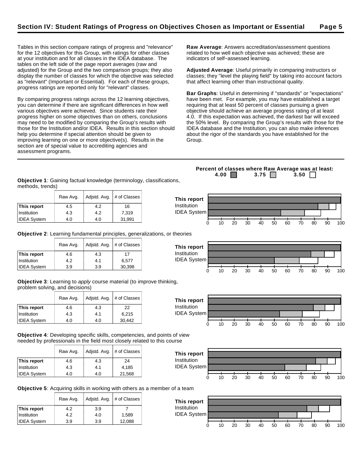Tables in this section compare ratings of progress and "relevance" for the 12 objectives for this Group, with ratings for other classes at your institution and for all classes in the IDEA database. The tables on the left side of the page report averages (raw and adjusted) for the Group and the two comparison groups; they also display the number of classes for which the objective was selected as "relevant" (Important or Essential). For each of these groups, progress ratings are reported only for "relevant" classes.

By comparing progress ratings across the 12 learning objectives, you can determine if there are significant differences in how well various objectives were achieved. Since students rate their progress higher on some objectives than on others, conclusions may need to be modified by comparing the Group's results with those for the Institution and/or IDEA. Results in this section should help you determine if special attention should be given to improving learning on one or more objective(s). Results in the section are of special value to accrediting agencies and assessment programs.

**Raw Average**: Answers accreditation/assessment questions related to how well each objective was achieved; these are indicators of self−assessed learning.

**Adjusted Average**: Useful primarily in comparing instructors or classes; they "level the playing field" by taking into account factors that affect learning other than instructional quality.

**Bar Graphs**: Useful in determining if "standards" or "expectations" have been met. For example, you may have established a target requiring that at least 50 percent of classes pursuing a given objective should achieve an average progress rating of at least 4.0. If this expectation was achieved, the darkest bar will exceed the 50% level. By comparing the Group's results with those for the IDEA database and the Institution, you can also make inferences about the rigor of the standards you have established for the Group.

**Percent of classes where Raw Average was at least: 4.00 3.75 3.50** 

**Objective 1**: Gaining factual knowledge (terminology, classifications, methods, trends)

|                    | Raw Avg. |     | Adjstd. Avg. $#$ of Classes | This report        |    |    |    |    |    |    |    |    |    |     |
|--------------------|----------|-----|-----------------------------|--------------------|----|----|----|----|----|----|----|----|----|-----|
| This report        | 4.5      | 4.2 | 16                          | Institution        |    |    |    |    |    |    |    |    |    |     |
| Institution        | 4.3      | 4.2 | 7,319                       | <b>IDEA System</b> |    |    |    |    |    |    |    |    |    |     |
| <b>IDEA System</b> | 4.0      | 4.0 | 31,991                      |                    | 10 | 20 | 30 | 40 | 50 | 60 | 70 | 80 | 90 | 100 |

**Objective 2**: Learning fundamental principles, generalizations, or theories

|                    | Raw Avg. | Adjstd. Avg. | # of Classes |
|--------------------|----------|--------------|--------------|
| This report        | 4.6      | 4.3          | 17           |
| Institution        | 4.2      | 4.1          | 6.577        |
| <b>IDEA System</b> | 3.9      | 3.9          | 30,398       |

**Objective 3**: Learning to apply course material (to improve thinking, problem solving, and decisions)

|                    | Raw Avg. |     | Adjstd. Avg.   # of Classes |
|--------------------|----------|-----|-----------------------------|
| This report        | 4.6      | 4.3 | 22                          |
| Institution        | 4.3      | 4.1 | 6.215                       |
| <b>IDEA System</b> | 4.0      | 4.0 | 30,442                      |

**Objective 4**: Developing specific skills, competencies, and points of view needed by professionals in the field most closely related to this course

|                    | Raw Avg. | Adjstd. Avg. | # of Classes |
|--------------------|----------|--------------|--------------|
| This report        | 4.6      | 4.3          | 24           |
| Institution        | 4.3      | 4.1          | 4,185        |
| <b>IDEA System</b> | 4.0      | 4.0          | 21,568       |



0 10 20 30 40 50 60 70 80 90 100

**Objective 5**: Acquiring skills in working with others as a member of a team

|                    | Raw Avg. | Adjstd. Avg. | # of Classes |
|--------------------|----------|--------------|--------------|
| This report        | 4.2      | 3.9          |              |
| Institution        | 4.2      | 4.0          | 1.589        |
| <b>IDEA System</b> | 3.9      | 3.9          | 12,088       |



**This report** Institution IDEA System

0 10 20 30 40 50 60 70 80 90 100

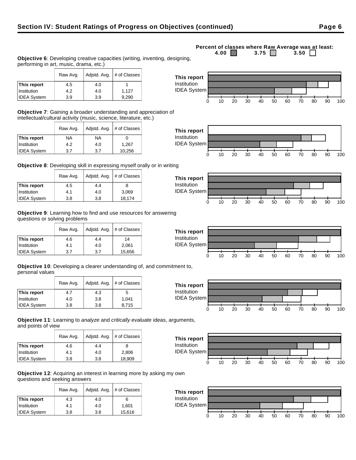## Raw Avg.  $\vert$  Adjstd. Avg.  $\vert \#$  of Classes **This report**  $\begin{array}{ccc} 4.5 & 4.0 & 1 \end{array}$ Institution | 4.2 | 4.0 | 1,127

**Objective 7**: Gaining a broader understanding and appreciation of intellectual/cultural activity (music, science, literature, etc.)

|                    | Raw Avg.  | Adjstd. Avg. | # of Classes |
|--------------------|-----------|--------------|--------------|
| This report        | <b>NA</b> | NA           |              |
| Institution        | 4.2       | 4.0          | 1.267        |
| <b>IDEA System</b> | 3.7       | 3.7          | 10,256       |

IDEA System 3.9 3.9 9,290

performing in art, music, drama, etc.)

**Objective 8**: Developing skill in expressing myself orally or in writing

|                    | Raw Avg. |     | Adjstd. Avg.   # of Classes |
|--------------------|----------|-----|-----------------------------|
| This report        | 4.5      | 4.4 | 8                           |
| Institution        | 4.1      | 4.0 | 3,069                       |
| <b>IDEA System</b> | 3.8      | 3.8 | 18,174                      |

**Objective 9**: Learning how to find and use resources for answering questions or solving problems

|                    | Raw Avg. | Adjstd. Avg. | # of Classes |
|--------------------|----------|--------------|--------------|
| This report        | 4.6      | 4.4          | 14           |
| Institution        | 4.1      | 4.0          | 2,061        |
| <b>IDEA System</b> | 3.7      | 3.7          | 15,656       |

**Objective 10**: Developing a clearer understanding of, and commitment to, personal values

|                    | Raw Avg. | Adjstd. Avg. | # of Classes |
|--------------------|----------|--------------|--------------|
| This report        | 4.7      | 4.3          | 5            |
| Institution        | 4.0      | 3.8          | 1.041        |
| <b>IDEA System</b> | 3.8      | 3.8          | 8,715        |

**Objective 11**: Learning to analyze and critically evaluate ideas, arguments, and points of view

|                    | Raw Avg. | Adjstd. Avg. | # of Classes |
|--------------------|----------|--------------|--------------|
| This report        | 4.6      | 4.4          | 8            |
| Institution        | 4.1      | 4.0          | 2,806        |
| <b>IDEA System</b> | 3.8      | 3.8          | 18,909       |

**Objective 12**: Acquiring an interest in learning more by asking my own questions and seeking answers

|                    | Raw Avg. | Adjstd. Avg. | # of Classes |
|--------------------|----------|--------------|--------------|
| This report        | 4.3      | 4.0          | 6            |
| Institution        | 4.1      | 4.0          | 1.601        |
| <b>IDEA System</b> | 3.8      | 3.8          | 15,616       |

#### **Percent of classes where Raw Average was at least:**<br>4.00 3.75 3.50 3.50 3.75  $\Box$ **Objective 6**: Developing creative capacities (writing, inventing, designing,















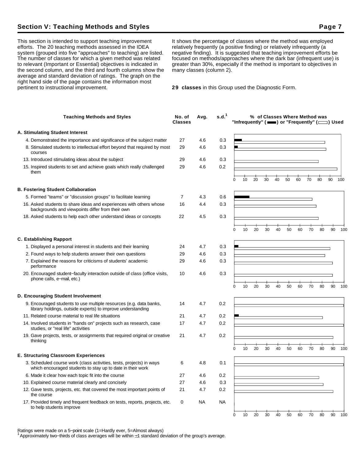# **Section V: Teaching Methods and Styles Page 7**

This section is intended to support teaching improvement efforts. The 20 teaching methods assessed in the IDEA system (grouped into five "approaches" to teaching) are listed. The number of classes for which a given method was related to relevant (Important or Essential) objectives is indicated in the second column, and the third and fourth columns show the average and standard deviation of ratings. The graph on the right hand side of the page contains the information most pertinent to instructional improvement.

It shows the percentage of classes where the method was employed relatively frequently (a positive finding) or relatively infrequently (a negative finding). It is suggested that teaching improvement efforts be focused on methods/approaches where the dark bar (infrequent use) is greater than 30%, especially if the method is important to objectives in many classes (column 2).

**29 classes** in this Group used the Diagnostic Form.

| <b>Teaching Methods and Styles</b>                                                                                                 | No. of<br><b>Classes</b> | Avg. | s.d. <sup>1</sup> |   |    |    |    |    |    |    |    | % of Classes Where Method was<br>"Infrequently" ( $\equiv$ ) or "Frequently" ( $\equiv$ ) Used |    |     |
|------------------------------------------------------------------------------------------------------------------------------------|--------------------------|------|-------------------|---|----|----|----|----|----|----|----|------------------------------------------------------------------------------------------------|----|-----|
| A. Stimulating Student Interest                                                                                                    |                          |      |                   |   |    |    |    |    |    |    |    |                                                                                                |    |     |
| 4. Demonstrated the importance and significance of the subject matter                                                              | 27                       | 4.6  | 0.3               |   |    |    |    |    |    |    |    |                                                                                                |    |     |
| 8. Stimulated students to intellectual effort beyond that required by most<br>courses                                              | 29                       | 4.6  | 0.3               |   |    |    |    |    |    |    |    |                                                                                                |    |     |
| 13. Introduced stimulating ideas about the subject                                                                                 | 29                       | 4.6  | 0.3               |   |    |    |    |    |    |    |    |                                                                                                |    |     |
| 15. Inspired students to set and achieve goals which really challenged<br>them                                                     | 29                       | 4.6  | 0.2               |   |    |    |    |    |    |    |    |                                                                                                |    |     |
|                                                                                                                                    |                          |      |                   | 0 | 10 | 20 | 30 | 40 | 50 | 60 | 70 | 80                                                                                             | 90 | 100 |
| <b>B. Fostering Student Collaboration</b>                                                                                          |                          |      |                   |   |    |    |    |    |    |    |    |                                                                                                |    |     |
| 5. Formed "teams" or "discussion groups" to facilitate learning                                                                    | $\overline{7}$           | 4.3  | 0.6               |   |    |    |    |    |    |    |    |                                                                                                |    |     |
| 16. Asked students to share ideas and experiences with others whose<br>backgrounds and viewpoints differ from their own            | 16                       | 4.4  | 0.3               |   |    |    |    |    |    |    |    |                                                                                                |    |     |
| 18. Asked students to help each other understand ideas or concepts                                                                 | 22                       | 4.5  | 0.3               |   |    |    |    |    |    |    |    |                                                                                                |    |     |
|                                                                                                                                    |                          |      |                   | 0 | 10 | 20 | 30 | 40 | 50 | 60 | 70 | 80                                                                                             | 90 | 100 |
| <b>C. Establishing Rapport</b>                                                                                                     |                          |      |                   |   |    |    |    |    |    |    |    |                                                                                                |    |     |
| 1. Displayed a personal interest in students and their learning                                                                    | 24                       | 4.7  | 0.3               |   |    |    |    |    |    |    |    |                                                                                                |    |     |
| 2. Found ways to help students answer their own questions                                                                          | 29                       | 4.6  | 0.3               |   |    |    |    |    |    |    |    |                                                                                                |    |     |
| 7. Explained the reasons for criticisms of students' academic<br>performance                                                       | 29                       | 4.6  | 0.3               |   |    |    |    |    |    |    |    |                                                                                                |    |     |
| 20. Encouraged student–faculty interaction outside of class (office visits,<br>phone calls, e-mail, etc.)                          | 10                       | 4.6  | 0.3               |   |    |    |    |    |    |    |    |                                                                                                |    |     |
|                                                                                                                                    |                          |      |                   | 0 | 10 | 20 | 30 | 40 | 50 | 60 | 70 | 80                                                                                             | 90 | 100 |
| D. Encouraging Student Involvement                                                                                                 |                          |      |                   |   |    |    |    |    |    |    |    |                                                                                                |    |     |
| 9. Encouraged students to use multiple resources (e.g. data banks,<br>library holdings, outside experts) to improve understanding  | 14                       | 4.7  | 0.2               |   |    |    |    |    |    |    |    |                                                                                                |    |     |
| 11. Related course material to real life situations                                                                                | 21                       | 4.7  | 0.2               |   |    |    |    |    |    |    |    |                                                                                                |    |     |
| 14. Involved students in "hands on" projects such as research, case<br>studies, or "real life" activities                          | 17                       | 4.7  | 0.2               |   |    |    |    |    |    |    |    |                                                                                                |    |     |
| 19. Gave projects, tests, or assignments that required original or creative<br>thinking                                            | 21                       | 4.7  | 0.2               |   |    |    |    |    |    |    |    |                                                                                                |    |     |
|                                                                                                                                    |                          |      |                   | 0 | 10 | 20 | 30 | 40 | 50 | 60 | 70 | 80                                                                                             | 90 | 100 |
| <b>E. Structuring Classroom Experiences</b>                                                                                        |                          |      |                   |   |    |    |    |    |    |    |    |                                                                                                |    |     |
| 3. Scheduled course work (class activities, tests, projects) in ways<br>which encouraged students to stay up to date in their work | 6                        | 4.8  | 0.1               |   |    |    |    |    |    |    |    |                                                                                                |    |     |
| 6. Made it clear how each topic fit into the course                                                                                | 27                       | 4.6  | $0.2\,$           |   |    |    |    |    |    |    |    |                                                                                                |    |     |
| 10. Explained course material clearly and concisely                                                                                | 27                       | 4.6  | 0.3               |   |    |    |    |    |    |    |    |                                                                                                |    |     |
| 12. Gave tests, projects, etc. that covered the most important points of<br>the course                                             | 21                       | 4.7  | 0.2               |   |    |    |    |    |    |    |    |                                                                                                |    |     |
| 17. Provided timely and frequent feedback on tests, reports, projects, etc.<br>to help students improve                            | 0                        | NA   | <b>NA</b>         |   |    |    |    |    |    |    |    |                                                                                                |    |     |
|                                                                                                                                    |                          |      |                   | 0 | 10 | 20 | 30 | 40 | 50 | 60 | 70 | 80                                                                                             | 90 | 100 |

Ratings were made on a 5−point scale (1=Hardly ever, 5=Almost always)

<sup>1</sup>Approximately two−thirds of class averages will be within 1 standard deviation of the group's average.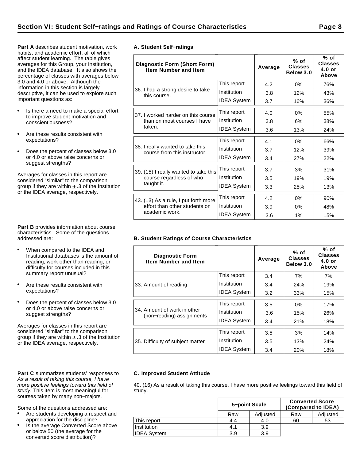**Part A** describes student motivation, work habits, and academic effort, all of which affect student learning. The table gives averages for this Group, your Institution, and the IDEA database. It also shows the percentage of classes with averages below 3.0 and 4.0 or above. Although the information in this section is largely descriptive, it can be used to explore such important questions as:

- Is there a need to make a special effort to improve student motivation and conscientiousness?
- Are these results consistent with expectations?
- Does the percent of classes below 3.0  $\bullet$ or 4.0 or above raise concerns or suggest strengths?

Averages for classes in this report are considered "similar" to the comparison group if they are within  $\pm$  .3 of the Institution or the IDEA average, respectively.

**Part B** provides information about course characteristics. Some of the questions addressed are:

- When compared to the IDEA and Institutional databases is the amount of reading, work other than reading, or difficulty for courses included in this summary report unusual?
- Are these results consistent with expectations?
- Does the percent of classes below 3.0 or 4.0 or above raise concerns or suggest strengths?

Averages for classes in this report are considered "similar" to the comparison group if they are within  $\pm$  .3 of the Institution or the IDEA average, respectively.

#### Part C summarizes students' responses to As a result of taking this course, I have more positive feelings toward this field of study. This item is most meaningful for courses taken by many non−majors.

Some of the questions addressed are:

- Are students developing a respect and appreciation for the discipline?
- Is the average Converted Score above or below 50 (the average for the converted score distribution)?

|  | A. Student Self-ratings |
|--|-------------------------|

| Diagnostic Form (Short Form)<br><b>Item Number and Item</b>      |                    | Average | $%$ of<br><b>Classes</b><br>Below 3.0 | % of<br><b>Classes</b><br>$4.0$ or<br>Above |
|------------------------------------------------------------------|--------------------|---------|---------------------------------------|---------------------------------------------|
|                                                                  | This report        | 4.2     | 0%                                    | 76%                                         |
| 36. I had a strong desire to take<br>this course.                | Institution        | 3.8     | 12%                                   | 43%                                         |
|                                                                  | <b>IDEA System</b> | 3.7     | 16%                                   | 36%                                         |
| 37. I worked harder on this course                               | This report        | 4.0     | 0%                                    | 55%                                         |
| than on most courses I have                                      | Institution        | 3.8     | 6%                                    | 38%                                         |
| taken.                                                           | <b>IDEA System</b> | 3.6     | 13%                                   | 24%                                         |
|                                                                  | This report        | 4.1     | 0%                                    | 66%                                         |
| 38. I really wanted to take this<br>course from this instructor. | Institution        | 3.7     | 12%                                   | 39%                                         |
|                                                                  | <b>IDEA System</b> | 3.4     | 27%                                   | 22%                                         |
| 39. (15) I really wanted to take this                            | This report        | 3.7     | 3%                                    | 31%                                         |
| course regardless of who                                         | Institution        | 3.5     | 19%                                   | 19%                                         |
| taught it.                                                       | <b>IDEA System</b> | 3.3     | 25%                                   | 13%                                         |
| 43. (13) As a rule, I put forth more                             | This report        | 4.2     | 0%                                    | 90%                                         |
| effort than other students on                                    | Institution        | 3.9     | 0%                                    | 48%                                         |
| academic work.                                                   | <b>IDEA System</b> | 3.6     | 1%                                    | 15%                                         |

## **B. Student Ratings of Course Characteristics**

| <b>Diagnostic Form</b><br><b>Item Number and Item</b>    |                    | Average | % of<br><b>Classes</b><br>Below 3.0 | % of<br><b>Classes</b><br>$4.0$ or<br>Above |
|----------------------------------------------------------|--------------------|---------|-------------------------------------|---------------------------------------------|
|                                                          | This report        | 3.4     | 7%                                  | 7%                                          |
| 33. Amount of reading                                    | Institution        | 3.4     | 24%                                 | 19%                                         |
|                                                          | <b>IDEA System</b> | 3.2     | 33%                                 | 15%                                         |
|                                                          | This report        | 3.5     | $0\%$                               | 17%                                         |
| 34. Amount of work in other<br>(non-reading) assignments | Institution        | 3.6     | 15%                                 | 26%                                         |
|                                                          | <b>IDEA System</b> | 3.4     | 21%                                 | 18%                                         |
|                                                          | This report        | 3.5     | 3%                                  | 14%                                         |
| 35. Difficulty of subject matter                         | Institution        | 3.5     | 13%                                 | <b>24%</b>                                  |
|                                                          | <b>IDEA</b> System | 3.4     | 20%                                 | 18%                                         |

#### **C. Improved Student Attitude**

40. (16) As a result of taking this course, I have more positive feelings toward this field of study.

|                    |     | 5-point Scale | <b>Converted Score</b><br>(Compared to IDEA) |          |  |  |
|--------------------|-----|---------------|----------------------------------------------|----------|--|--|
|                    | Raw | Adjusted      | Raw                                          | Adjusted |  |  |
| This report        | 4.4 | 4.0           | 60                                           | 53       |  |  |
| Institution        | 4.1 | 3.9           |                                              |          |  |  |
| <b>IDEA</b> System | 3.9 | 3.9           |                                              |          |  |  |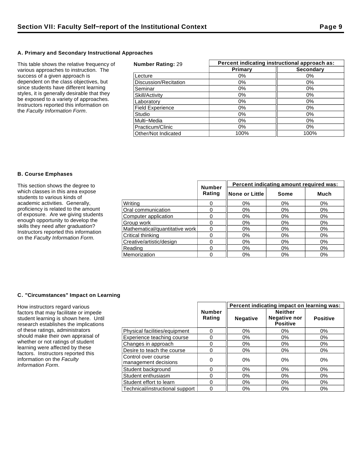## **A. Primary and Secondary Instructional Approaches**

This table shows the relative frequency of various approaches to instruction. The success of a given approach is dependent on the class objectives, but since students have different learning styles, it is generally desirable that they be exposed to a variety of approaches. Instructors reported this information on the Faculty Information Form.

| <b>Number Rating: 29</b> | Percent indicating instructional approach as: |                  |  |  |  |
|--------------------------|-----------------------------------------------|------------------|--|--|--|
|                          | Primary                                       | <b>Secondary</b> |  |  |  |
| Lecture                  | $0\%$                                         | $0\%$            |  |  |  |
| Discussion/Recitation    | 0%                                            | $0\%$            |  |  |  |
| Seminar                  | 0%                                            | 0%               |  |  |  |
| Skill/Activity           | 0%                                            | $0\%$            |  |  |  |
| Laboratory               | $0\%$                                         | 0%               |  |  |  |
| <b>Field Experience</b>  | 0%                                            | $0\%$            |  |  |  |
| Studio                   | $0\%$                                         | $0\%$            |  |  |  |
| Multi-Media              | $0\%$                                         | $0\%$            |  |  |  |
| Practicum/Clinic         | $0\%$                                         | $0\%$            |  |  |  |
| Other/Not Indicated      | 100%                                          | 100%             |  |  |  |

## **B. Course Emphases**

| This section shows the degree to                                          |                                | <b>Number</b> | Percent indicating amount required was: |       |       |  |  |
|---------------------------------------------------------------------------|--------------------------------|---------------|-----------------------------------------|-------|-------|--|--|
| which classes in this area expose<br>students to various kinds of         |                                | Rating        | ∥None or Little                         | Some  | Much  |  |  |
| academic activities. Generally,                                           | Writina                        |               | 0%                                      | 0%    | 0%    |  |  |
| proficiency is related to the amount                                      | Oral communication             |               | 0%                                      | 0%    | 0%    |  |  |
| of exposure. Are we giving students                                       | Computer application           |               | $0\%$                                   | 0%    | 0%    |  |  |
| enough opportunity to develop the                                         | Group work                     |               | 0%                                      | $0\%$ | $0\%$ |  |  |
| skills they need after graduation?                                        | Mathematical/quantitative work |               | 0%                                      | $0\%$ | 0%    |  |  |
| Instructors reported this information<br>on the Faculty Information Form. | Critical thinking              |               | 0%                                      | 0%    | $0\%$ |  |  |
|                                                                           | Creative/artistic/design       |               | 0%                                      | 0%    | 0%    |  |  |
|                                                                           | Reading                        |               | 0%                                      | $0\%$ | 0%    |  |  |
|                                                                           | Memorization                   |               | 0%                                      | $0\%$ | 0%    |  |  |

## **C. "Circumstances" Impact on Learning**

How instructors regard various factors that may facilitate or impede student learning is shown here. Until research establishes the implications of these ratings, administrators should make their own appraisal of whether or not ratings of student learning were affected by these factors. Instructors reported this information on the Faculty Information Form.

|                                             |                         | Percent indicating impact on learning was: |                                                          |                 |  |
|---------------------------------------------|-------------------------|--------------------------------------------|----------------------------------------------------------|-----------------|--|
|                                             | <b>Number</b><br>Rating | <b>Negative</b>                            | <b>Neither</b><br><b>Negative nor</b><br><b>Positive</b> | <b>Positive</b> |  |
| Physical facilities/equipment               | 0                       | 0%                                         | $0\%$                                                    | 0%              |  |
| Experience teaching course                  | 0                       | 0%<br>0%                                   |                                                          | 0%              |  |
| Changes in approach                         | 0                       | $0\%$                                      | 0%                                                       | 0%              |  |
| Desire to teach the course                  | 0                       | $0\%$                                      | $0\%$                                                    | $0\%$           |  |
| Control over course<br>management decisions | 0                       | 0%                                         | 0%                                                       | 0%              |  |
| Student background                          | 0                       | 0%                                         | 0%                                                       | $0\%$           |  |
| Student enthusiasm                          | 0                       | $0\%$                                      | $0\%$                                                    | 0%              |  |
| Student effort to learn                     | 0                       | 0%                                         | 0%                                                       | 0%              |  |
| Technical/instructional support             | 0                       | 0%                                         | $0\%$                                                    | 0%              |  |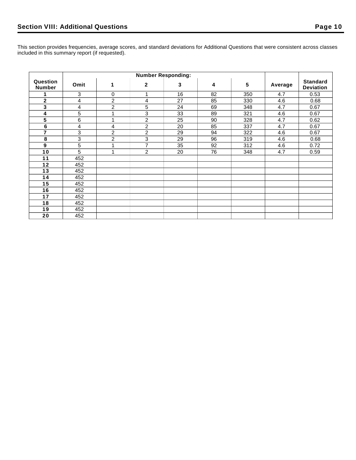This section provides frequencies, average scores, and standard deviations for Additional Questions that were consistent across classes included in this summary report (if requested).

| Question<br><b>Number</b> | Omit | 1                       | $\mathbf{2}$   | 3  | 4  | 5   | Average | <b>Standard</b><br><b>Deviation</b> |
|---------------------------|------|-------------------------|----------------|----|----|-----|---------|-------------------------------------|
|                           | 3    | 0                       | 1              | 16 | 82 | 350 | 4.7     | 0.53                                |
| $\mathbf{2}$              | 4    | $\overline{2}$          | 4              | 27 | 85 | 330 | 4.6     | 0.68                                |
| 3                         | 4    | $\overline{2}$          | 5              | 24 | 69 | 348 | 4.7     | 0.67                                |
| 4                         | 5    |                         | 3              | 33 | 89 | 321 | 4.6     | 0.67                                |
| 5                         | 6    | 1                       | $\overline{2}$ | 25 | 90 | 328 | 4.7     | 0.62                                |
| $\bf 6$                   | 4    | 4                       | $\overline{c}$ | 20 | 85 | 337 | 4.7     | 0.67                                |
| $\overline{7}$            | 3    | $\overline{c}$          | $\overline{c}$ | 29 | 94 | 322 | 4.6     | 0.67                                |
| 8                         | 3    | $\overline{2}$          | 3              | 29 | 96 | 319 | 4.6     | 0.68                                |
| 9                         | 5    | и                       | $\overline{7}$ | 35 | 92 | 312 | 4.6     | 0.72                                |
| 10                        | 5    | $\overline{\mathbf{A}}$ | $\overline{2}$ | 20 | 76 | 348 | 4.7     | 0.59                                |
| 11                        | 452  |                         |                |    |    |     |         |                                     |
| 12                        | 452  |                         |                |    |    |     |         |                                     |
| 13                        | 452  |                         |                |    |    |     |         |                                     |
| 14                        | 452  |                         |                |    |    |     |         |                                     |
| 15                        | 452  |                         |                |    |    |     |         |                                     |
| 16                        | 452  |                         |                |    |    |     |         |                                     |
| 17                        | 452  |                         |                |    |    |     |         |                                     |
| 18                        | 452  |                         |                |    |    |     |         |                                     |
| 19                        | 452  |                         |                |    |    |     |         |                                     |
| 20                        | 452  |                         |                |    |    |     |         |                                     |